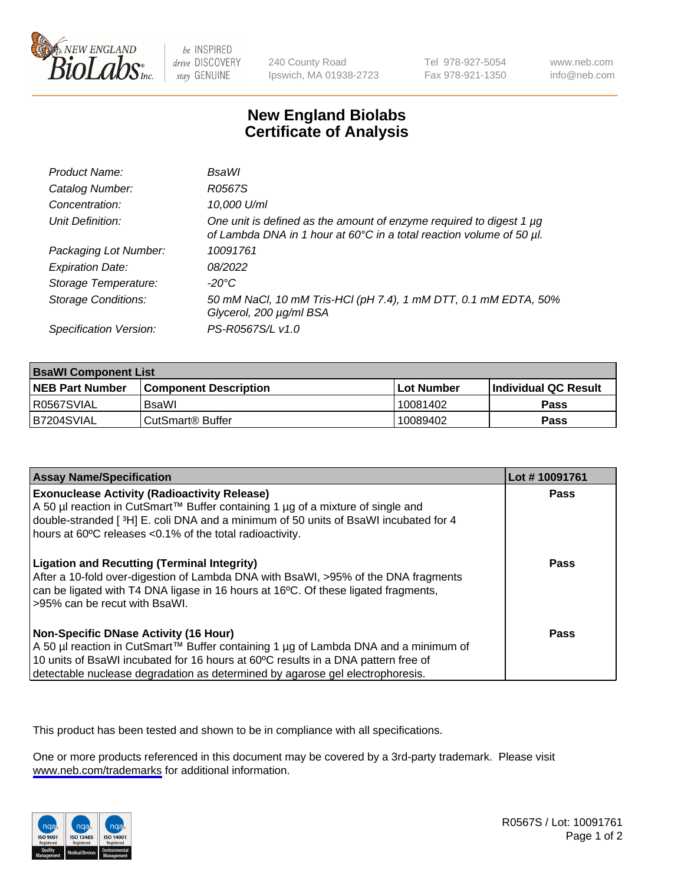

be INSPIRED drive DISCOVERY stay GENUINE

240 County Road Ipswich, MA 01938-2723 Tel 978-927-5054 Fax 978-921-1350

www.neb.com info@neb.com

## **New England Biolabs Certificate of Analysis**

| Product Name:              | <b>BsaWI</b>                                                                                                                                |
|----------------------------|---------------------------------------------------------------------------------------------------------------------------------------------|
| Catalog Number:            | R0567S                                                                                                                                      |
| Concentration:             | 10,000 U/ml                                                                                                                                 |
| Unit Definition:           | One unit is defined as the amount of enzyme required to digest 1 µg<br>of Lambda DNA in 1 hour at 60°C in a total reaction volume of 50 µl. |
| Packaging Lot Number:      | 10091761                                                                                                                                    |
| <b>Expiration Date:</b>    | 08/2022                                                                                                                                     |
| Storage Temperature:       | $-20^{\circ}$ C                                                                                                                             |
| <b>Storage Conditions:</b> | 50 mM NaCl, 10 mM Tris-HCl (pH 7.4), 1 mM DTT, 0.1 mM EDTA, 50%<br>Glycerol, 200 µg/ml BSA                                                  |
| Specification Version:     | PS-R0567S/L v1.0                                                                                                                            |

| <b>BsaWI Component List</b> |                         |             |                             |  |
|-----------------------------|-------------------------|-------------|-----------------------------|--|
| <b>NEB Part Number</b>      | l Component Description | ⊺Lot Number | <b>Individual QC Result</b> |  |
| R0567SVIAL                  | BsaWl                   | 10081402    | Pass                        |  |
| B7204SVIAL                  | l CutSmart® Buffer      | 10089402    | Pass                        |  |

| <b>Assay Name/Specification</b>                                                                                                                                                                                                                                                                           | Lot #10091761 |
|-----------------------------------------------------------------------------------------------------------------------------------------------------------------------------------------------------------------------------------------------------------------------------------------------------------|---------------|
| <b>Exonuclease Activity (Radioactivity Release)</b><br>A 50 µl reaction in CutSmart™ Buffer containing 1 µg of a mixture of single and<br>double-stranded [3H] E. coli DNA and a minimum of 50 units of BsaWI incubated for 4<br>hours at 60°C releases <0.1% of the total radioactivity.                 | Pass          |
| <b>Ligation and Recutting (Terminal Integrity)</b><br>After a 10-fold over-digestion of Lambda DNA with BsaWI, >95% of the DNA fragments<br>can be ligated with T4 DNA ligase in 16 hours at 16°C. Of these ligated fragments,<br>>95% can be recut with BsaWI.                                           | <b>Pass</b>   |
| <b>Non-Specific DNase Activity (16 Hour)</b><br>A 50 µl reaction in CutSmart™ Buffer containing 1 µg of Lambda DNA and a minimum of<br>10 units of BsaWI incubated for 16 hours at 60°C results in a DNA pattern free of<br>detectable nuclease degradation as determined by agarose gel electrophoresis. | <b>Pass</b>   |

This product has been tested and shown to be in compliance with all specifications.

One or more products referenced in this document may be covered by a 3rd-party trademark. Please visit <www.neb.com/trademarks>for additional information.